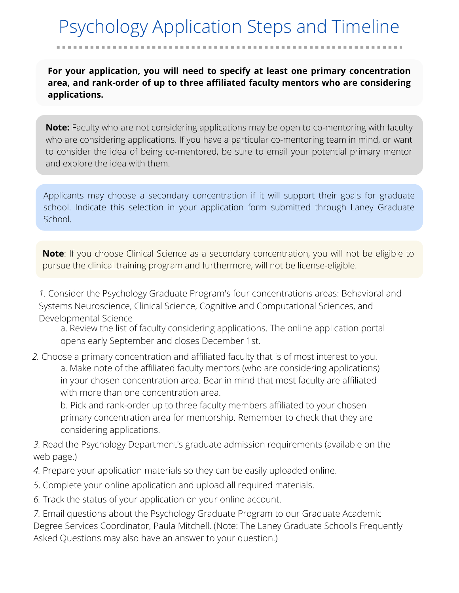# Psychology Application Steps and Timeline

**For your application, you will need to specify at least one primary concentration area, and rank-order of up to three affiliated faculty mentors who are considering applications.**

**Note:** Faculty who are not considering applications may be open to co-mentoring with faculty who are considering applications. If you have a particular co-mentoring team in mind, or want to consider the idea of being co-mentored, be sure to email your potential primary mentor and explore the idea with them.

Applicants may choose a secondary concentration if it will support their goals for graduate school. Indicate this selection in your application form submitted through Laney Graduate School.

**Note**: If you choose Clinical Science as a secondary concentration, you will not be eligible to pursue the clinical training [program](http://psychology.emory.edu/home/graduate/clinical-science.html) and furthermore, will not be license-eligible.

*1.* [Consider the Psychology Graduate Program's four concentrations areas: Behavioral and](http://psychology.emory.edu/home/graduate/behavioral-systems-neuroscience.html) Systems Neuroscience, [Clinical Science](http://psychology.emory.edu/home/graduate/clinical-science.html), [Cognitive and Computational Sciences,](http://psychology.emory.edu/home/graduate/cognitive-computational-sciences.html) and [Developmental Science](http://psychology.emory.edu/home/graduate/developmental-science.html)

 a. Review the list of faculty considering applications. The online application portal opens early September and closes December 1st.

*2.* Choose a primary concentration and affiliated faculty that is of most interest to you. a. Make note of the affiliated faculty mentors (who are considering applications) in your chosen concentration area. Bear in mind that most faculty are affiliated with more than one concentration area.

b. Pick and rank-order up to three faculty members affiliated to your chosen primary concentration area for mentorship. Remember to check that they are considering applications.

*3.* Read the Psychology Department's graduate admission requirements (available on the web page.)

- *4.* Prepare your application materials so they can be easily uploaded online.
- *5*. Complete your online application and upload all required materials.
- *6.* Track the status of your application on your online account.

*7.* Email questions about the Psychology Graduate Program to our Graduate Academic [Degree Services Coordinator, P](https://gs.emory.edu/admissions/faq.html)[aula Mitchel](mailto:paula.mitchell@emory.edu)[l. \(Note: The Laney Graduate School's Frequently](https://gs.emory.edu/admissions/faq.html) Asked Questions may also have an answer to your question.)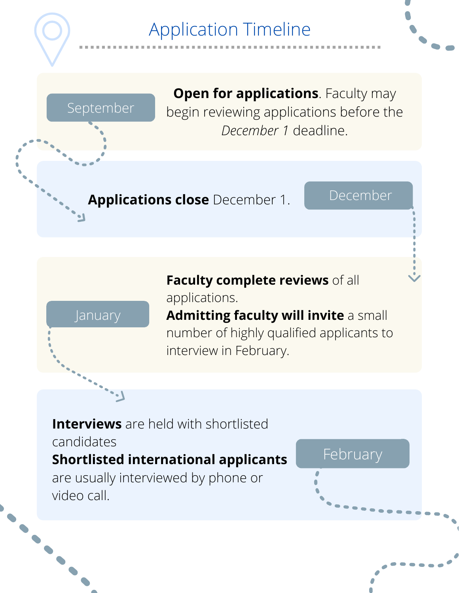# Application Timeline

September

**Open for applications**. Faculty may begin reviewing applications before the *December 1* deadline.

**Applications close** December 1. December



**Faculty complete reviews** of all applications.

**Admitting faculty will invite** a small number of highly qualified applicants to interview in February.

## **Interviews** are held with shortlisted

candidates

### **Shortlisted international applicants**

are usually interviewed by phone or video call.

#### February